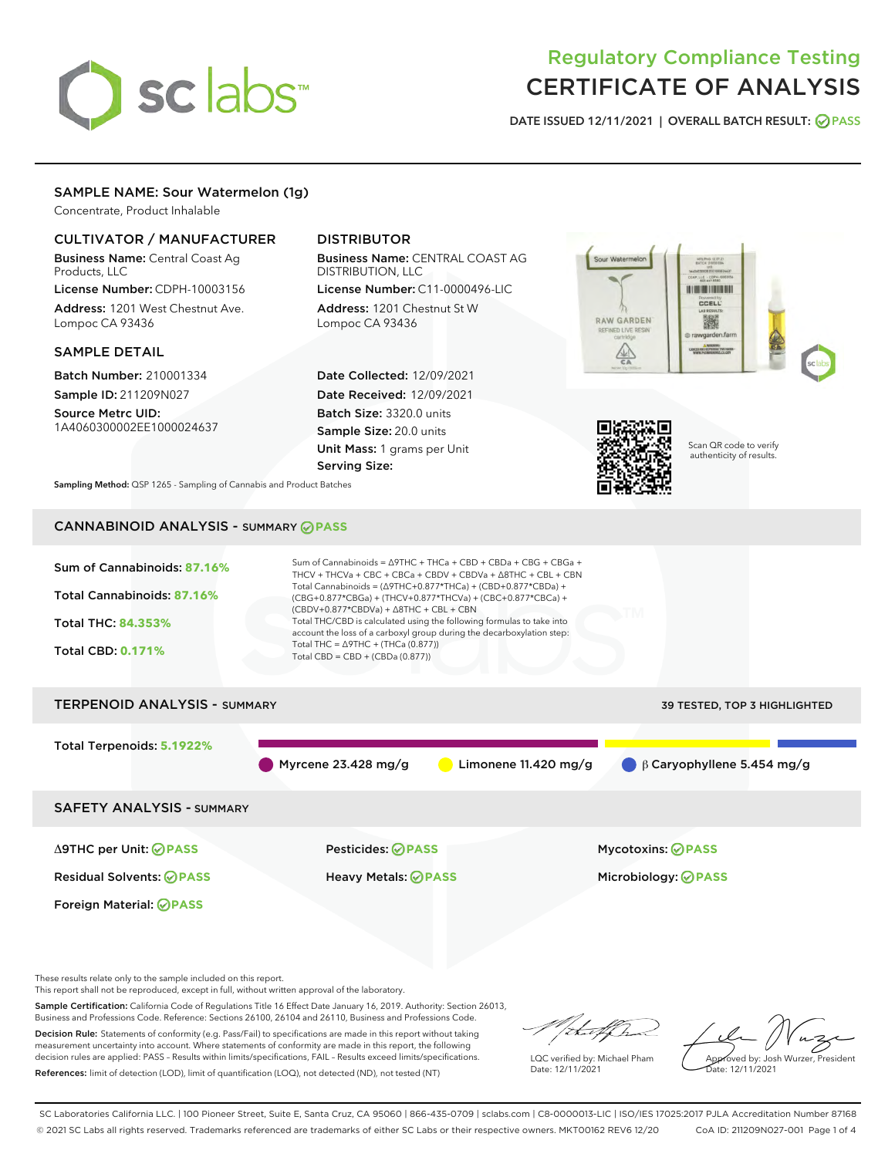

# Regulatory Compliance Testing CERTIFICATE OF ANALYSIS

DATE ISSUED 12/11/2021 | OVERALL BATCH RESULT: @ PASS

## SAMPLE NAME: Sour Watermelon (1g)

Concentrate, Product Inhalable

#### CULTIVATOR / MANUFACTURER

Business Name: Central Coast Ag Products, LLC

License Number: CDPH-10003156 Address: 1201 West Chestnut Ave. Lompoc CA 93436

#### SAMPLE DETAIL

Batch Number: 210001334 Sample ID: 211209N027

Source Metrc UID: 1A4060300002EE1000024637

## DISTRIBUTOR

Business Name: CENTRAL COAST AG DISTRIBUTION, LLC

License Number: C11-0000496-LIC Address: 1201 Chestnut St W Lompoc CA 93436

Date Collected: 12/09/2021 Date Received: 12/09/2021 Batch Size: 3320.0 units Sample Size: 20.0 units Unit Mass: 1 grams per Unit Serving Size:





Scan QR code to verify authenticity of results.

Sampling Method: QSP 1265 - Sampling of Cannabis and Product Batches

# CANNABINOID ANALYSIS - SUMMARY **PASS**



These results relate only to the sample included on this report.

This report shall not be reproduced, except in full, without written approval of the laboratory.

Sample Certification: California Code of Regulations Title 16 Effect Date January 16, 2019. Authority: Section 26013, Business and Professions Code. Reference: Sections 26100, 26104 and 26110, Business and Professions Code.

Decision Rule: Statements of conformity (e.g. Pass/Fail) to specifications are made in this report without taking measurement uncertainty into account. Where statements of conformity are made in this report, the following decision rules are applied: PASS – Results within limits/specifications, FAIL – Results exceed limits/specifications. References: limit of detection (LOD), limit of quantification (LOQ), not detected (ND), not tested (NT)

that f ha

LQC verified by: Michael Pham Date: 12/11/2021

Approved by: Josh Wurzer, President Date: 12/11/2021

SC Laboratories California LLC. | 100 Pioneer Street, Suite E, Santa Cruz, CA 95060 | 866-435-0709 | sclabs.com | C8-0000013-LIC | ISO/IES 17025:2017 PJLA Accreditation Number 87168 © 2021 SC Labs all rights reserved. Trademarks referenced are trademarks of either SC Labs or their respective owners. MKT00162 REV6 12/20 CoA ID: 211209N027-001 Page 1 of 4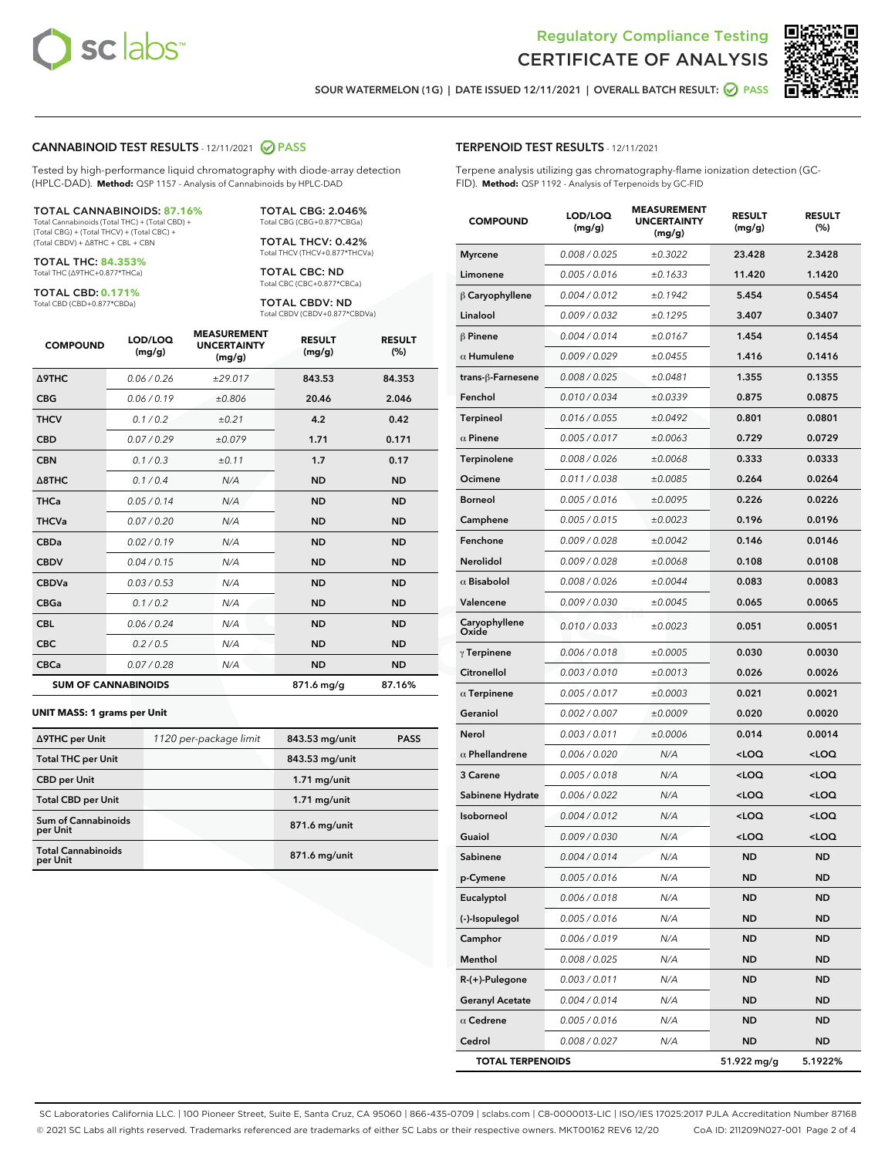



SOUR WATERMELON (1G) | DATE ISSUED 12/11/2021 | OVERALL BATCH RESULT: @ PASS

#### CANNABINOID TEST RESULTS - 12/11/2021 2 PASS

Tested by high-performance liquid chromatography with diode-array detection (HPLC-DAD). **Method:** QSP 1157 - Analysis of Cannabinoids by HPLC-DAD

#### TOTAL CANNABINOIDS: **87.16%**

Total Cannabinoids (Total THC) + (Total CBD) + (Total CBG) + (Total THCV) + (Total CBC) + (Total CBDV) + ∆8THC + CBL + CBN

TOTAL THC: **84.353%** Total THC (∆9THC+0.877\*THCa)

TOTAL CBD: **0.171%**

Total CBD (CBD+0.877\*CBDa)

TOTAL CBG: 2.046% Total CBG (CBG+0.877\*CBGa)

TOTAL THCV: 0.42% Total THCV (THCV+0.877\*THCVa)

TOTAL CBC: ND Total CBC (CBC+0.877\*CBCa)

TOTAL CBDV: ND Total CBDV (CBDV+0.877\*CBDVa)

| <b>COMPOUND</b>            | LOD/LOQ<br>(mg/g) | <b>MEASUREMENT</b><br><b>UNCERTAINTY</b><br>(mg/g) | <b>RESULT</b><br>(mg/g) | <b>RESULT</b><br>(%) |
|----------------------------|-------------------|----------------------------------------------------|-------------------------|----------------------|
| <b>A9THC</b>               | 0.06/0.26         | ±29.017                                            | 843.53                  | 84.353               |
| <b>CBG</b>                 | 0.06/0.19         | ±0.806                                             | 20.46                   | 2.046                |
| <b>THCV</b>                | 0.1/0.2           | ±0.21                                              | 4.2                     | 0.42                 |
| <b>CBD</b>                 | 0.07/0.29         | ±0.079                                             | 1.71                    | 0.171                |
| <b>CBN</b>                 | 0.1 / 0.3         | ±0.11                                              | 1.7                     | 0.17                 |
| $\triangle$ 8THC           | 0.1/0.4           | N/A                                                | <b>ND</b>               | <b>ND</b>            |
| <b>THCa</b>                | 0.05/0.14         | N/A                                                | <b>ND</b>               | <b>ND</b>            |
| <b>THCVa</b>               | 0.07/0.20         | N/A                                                | <b>ND</b>               | <b>ND</b>            |
| <b>CBDa</b>                | 0.02/0.19         | N/A                                                | <b>ND</b>               | <b>ND</b>            |
| <b>CBDV</b>                | 0.04/0.15         | N/A                                                | <b>ND</b>               | <b>ND</b>            |
| <b>CBDVa</b>               | 0.03 / 0.53       | N/A                                                | <b>ND</b>               | <b>ND</b>            |
| <b>CBGa</b>                | 0.1/0.2           | N/A                                                | <b>ND</b>               | <b>ND</b>            |
| <b>CBL</b>                 | 0.06 / 0.24       | N/A                                                | <b>ND</b>               | <b>ND</b>            |
| <b>CBC</b>                 | 0.2 / 0.5         | N/A                                                | <b>ND</b>               | <b>ND</b>            |
| <b>CBCa</b>                | 0.07/0.28         | N/A                                                | <b>ND</b>               | <b>ND</b>            |
| <b>SUM OF CANNABINOIDS</b> |                   |                                                    | 871.6 mg/g              | 87.16%               |

#### **UNIT MASS: 1 grams per Unit**

| ∆9THC per Unit                        | 1120 per-package limit | 843.53 mg/unit  | <b>PASS</b> |
|---------------------------------------|------------------------|-----------------|-------------|
| <b>Total THC per Unit</b>             |                        | 843.53 mg/unit  |             |
| <b>CBD</b> per Unit                   |                        | $1.71$ mg/unit  |             |
| <b>Total CBD per Unit</b>             |                        | $1.71$ mg/unit  |             |
| Sum of Cannabinoids<br>per Unit       |                        | 871.6 mg/unit   |             |
| <b>Total Cannabinoids</b><br>per Unit |                        | $871.6$ mg/unit |             |

#### TERPENOID TEST RESULTS - 12/11/2021

Terpene analysis utilizing gas chromatography-flame ionization detection (GC-FID). **Method:** QSP 1192 - Analysis of Terpenoids by GC-FID

| <b>COMPOUND</b>         | LOD/LOQ<br>(mg/g) | <b>MEASUREMENT</b><br><b>UNCERTAINTY</b><br>(mg/g) | <b>RESULT</b><br>(mg/g)                         | <b>RESULT</b><br>(%) |
|-------------------------|-------------------|----------------------------------------------------|-------------------------------------------------|----------------------|
| Myrcene                 | 0.008 / 0.025     | ±0.3022                                            | 23.428                                          | 2.3428               |
| Limonene                | 0.005 / 0.016     | ±0.1633                                            | 11.420                                          | 1.1420               |
| $\beta$ Caryophyllene   | 0.004 / 0.012     | ±0.1942                                            | 5.454                                           | 0.5454               |
| Linalool                | 0.009 / 0.032     | ±0.1295                                            | 3.407                                           | 0.3407               |
| $\beta$ Pinene          | 0.004 / 0.014     | ±0.0167                                            | 1.454                                           | 0.1454               |
| $\alpha$ Humulene       | 0.009 / 0.029     | ±0.0455                                            | 1.416                                           | 0.1416               |
| trans-ß-Farnesene       | 0.008 / 0.025     | ±0.0481                                            | 1.355                                           | 0.1355               |
| Fenchol                 | 0.010 / 0.034     | ±0.0339                                            | 0.875                                           | 0.0875               |
| Terpineol               | 0.016 / 0.055     | ±0.0492                                            | 0.801                                           | 0.0801               |
| $\alpha$ Pinene         | 0.005 / 0.017     | ±0.0063                                            | 0.729                                           | 0.0729               |
| Terpinolene             | 0.008 / 0.026     | ±0.0068                                            | 0.333                                           | 0.0333               |
| Ocimene                 | 0.011 / 0.038     | ±0.0085                                            | 0.264                                           | 0.0264               |
| Borneol                 | 0.005 / 0.016     | ±0.0095                                            | 0.226                                           | 0.0226               |
| Camphene                | 0.005 / 0.015     | ±0.0023                                            | 0.196                                           | 0.0196               |
| Fenchone                | 0.009 / 0.028     | ±0.0042                                            | 0.146                                           | 0.0146               |
| Nerolidol               | 0.009 / 0.028     | ±0.0068                                            | 0.108                                           | 0.0108               |
| $\alpha$ Bisabolol      | 0.008 / 0.026     | ±0.0044                                            | 0.083                                           | 0.0083               |
| Valencene               | 0.009 / 0.030     | ±0.0045                                            | 0.065                                           | 0.0065               |
| Caryophyllene<br>Oxide  | 0.010 / 0.033     | ±0.0023                                            | 0.051                                           | 0.0051               |
| $\gamma$ Terpinene      | 0.006 / 0.018     | ±0.0005                                            | 0.030                                           | 0.0030               |
| Citronellol             | 0.003 / 0.010     | ±0.0013                                            | 0.026                                           | 0.0026               |
| $\alpha$ Terpinene      | 0.005 / 0.017     | ±0.0003                                            | 0.021                                           | 0.0021               |
| Geraniol                | 0.002 / 0.007     | ±0.0009                                            | 0.020                                           | 0.0020               |
| Nerol                   | 0.003 / 0.011     | ±0.0006                                            | 0.014                                           | 0.0014               |
| $\alpha$ Phellandrene   | 0.006 / 0.020     | N/A                                                | <loq< th=""><th><loq< th=""></loq<></th></loq<> | <loq< th=""></loq<>  |
| 3 Carene                | 0.005 / 0.018     | N/A                                                | <loq< th=""><th><loq< th=""></loq<></th></loq<> | <loq< th=""></loq<>  |
| Sabinene Hydrate        | 0.006 / 0.022     | N/A                                                | <loq< th=""><th><loq< th=""></loq<></th></loq<> | <loq< th=""></loq<>  |
| Isoborneol              | 0.004 / 0.012     | N/A                                                | <loq< th=""><th><loq< th=""></loq<></th></loq<> | <loq< th=""></loq<>  |
| Guaiol                  | 0.009 / 0.030     | N/A                                                | <loq< th=""><th><loq< th=""></loq<></th></loq<> | <loq< th=""></loq<>  |
| Sabinene                | 0.004 / 0.014     | N/A                                                | <b>ND</b>                                       | <b>ND</b>            |
| p-Cymene                | 0.005 / 0.016     | N/A                                                | ND                                              | ND                   |
| Eucalyptol              | 0.006 / 0.018     | N/A                                                | ND                                              | ND                   |
| (-)-Isopulegol          | 0.005 / 0.016     | N/A                                                | ND                                              | ND                   |
| Camphor                 | 0.006 / 0.019     | N/A                                                | ND                                              | ND                   |
| Menthol                 | 0.008 / 0.025     | N/A                                                | ND                                              | ND                   |
| R-(+)-Pulegone          | 0.003 / 0.011     | N/A                                                | ND                                              | ND                   |
| <b>Geranyl Acetate</b>  | 0.004 / 0.014     | N/A                                                | ND                                              | ND                   |
| $\alpha$ Cedrene        | 0.005 / 0.016     | N/A                                                | ND                                              | ND                   |
| Cedrol                  | 0.008 / 0.027     | N/A                                                | ND                                              | ND                   |
| <b>TOTAL TERPENOIDS</b> |                   |                                                    | 51.922 mg/g                                     | 5.1922%              |

SC Laboratories California LLC. | 100 Pioneer Street, Suite E, Santa Cruz, CA 95060 | 866-435-0709 | sclabs.com | C8-0000013-LIC | ISO/IES 17025:2017 PJLA Accreditation Number 87168 © 2021 SC Labs all rights reserved. Trademarks referenced are trademarks of either SC Labs or their respective owners. MKT00162 REV6 12/20 CoA ID: 211209N027-001 Page 2 of 4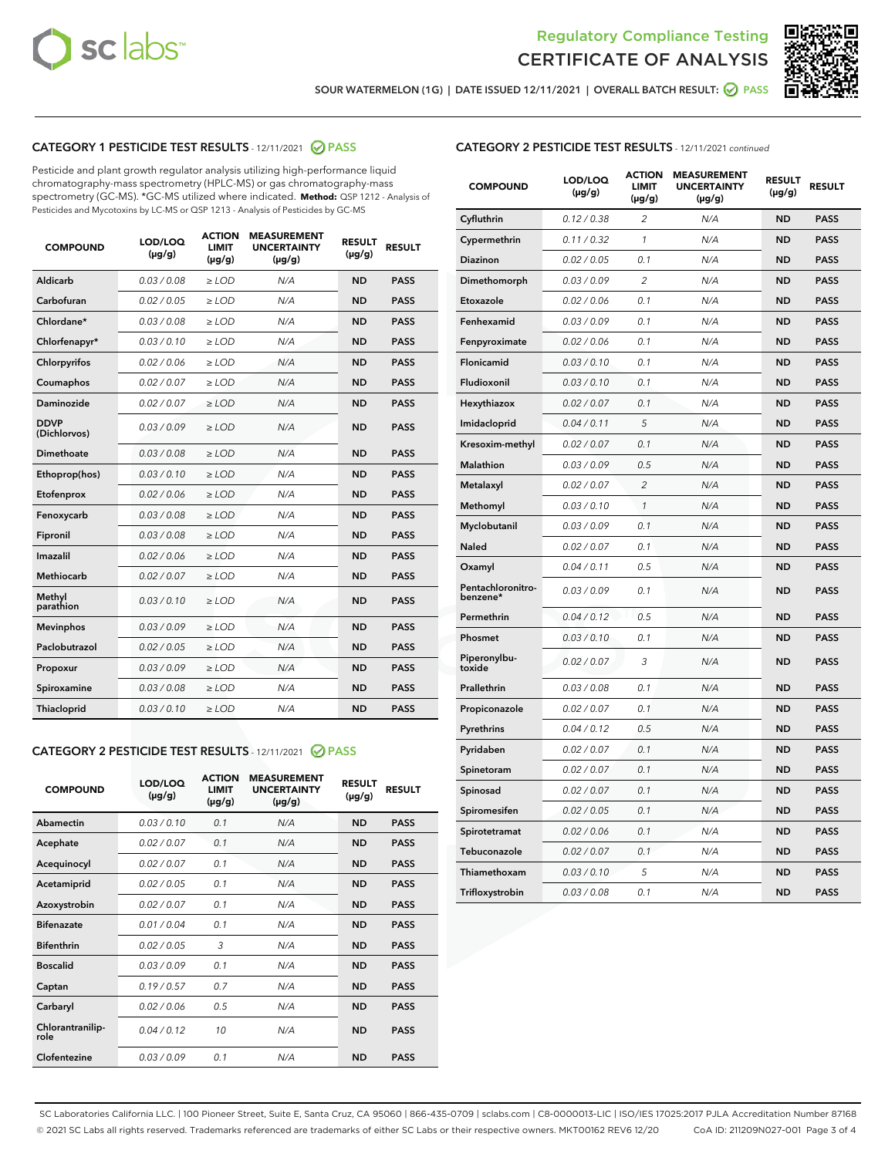



SOUR WATERMELON (1G) | DATE ISSUED 12/11/2021 | OVERALL BATCH RESULT: @ PASS

#### CATEGORY 1 PESTICIDE TEST RESULTS - 12/11/2021 @ PASS

Pesticide and plant growth regulator analysis utilizing high-performance liquid chromatography-mass spectrometry (HPLC-MS) or gas chromatography-mass spectrometry (GC-MS). \*GC-MS utilized where indicated. **Method:** QSP 1212 - Analysis of Pesticides and Mycotoxins by LC-MS or QSP 1213 - Analysis of Pesticides by GC-MS

| <b>COMPOUND</b>             | LOD/LOQ<br>$(\mu g/g)$ | <b>ACTION</b><br>LIMIT<br>$(\mu g/g)$ | <b>MEASUREMENT</b><br><b>UNCERTAINTY</b><br>$(\mu g/g)$ | <b>RESULT</b><br>$(\mu g/g)$ | <b>RESULT</b> |
|-----------------------------|------------------------|---------------------------------------|---------------------------------------------------------|------------------------------|---------------|
| Aldicarb                    | 0.03 / 0.08            | $\ge$ LOD                             | N/A                                                     | <b>ND</b>                    | <b>PASS</b>   |
| Carbofuran                  | 0.02 / 0.05            | $>$ LOD                               | N/A                                                     | <b>ND</b>                    | <b>PASS</b>   |
| Chlordane*                  | 0.03 / 0.08            | $>$ LOD                               | N/A                                                     | <b>ND</b>                    | <b>PASS</b>   |
| Chlorfenapyr*               | 0.03/0.10              | ≥ LOD                                 | N/A                                                     | <b>ND</b>                    | <b>PASS</b>   |
| Chlorpyrifos                | 0.02 / 0.06            | $\geq$ LOD                            | N/A                                                     | <b>ND</b>                    | <b>PASS</b>   |
| Coumaphos                   | 0.02 / 0.07            | $>$ LOD                               | N/A                                                     | <b>ND</b>                    | <b>PASS</b>   |
| <b>Daminozide</b>           | 0.02 / 0.07            | $\ge$ LOD                             | N/A                                                     | <b>ND</b>                    | <b>PASS</b>   |
| <b>DDVP</b><br>(Dichlorvos) | 0.03/0.09              | $\geq$ LOD                            | N/A                                                     | <b>ND</b>                    | <b>PASS</b>   |
| Dimethoate                  | 0.03 / 0.08            | $>$ LOD                               | N/A                                                     | <b>ND</b>                    | <b>PASS</b>   |
| Ethoprop(hos)               | 0.03/0.10              | $>$ LOD                               | N/A                                                     | <b>ND</b>                    | <b>PASS</b>   |
| Etofenprox                  | 0.02 / 0.06            | $>$ LOD                               | N/A                                                     | <b>ND</b>                    | <b>PASS</b>   |
| Fenoxycarb                  | 0.03 / 0.08            | $>$ LOD                               | N/A                                                     | <b>ND</b>                    | <b>PASS</b>   |
| Fipronil                    | 0.03 / 0.08            | $\geq$ LOD                            | N/A                                                     | <b>ND</b>                    | <b>PASS</b>   |
| Imazalil                    | 0.02 / 0.06            | $\geq$ LOD                            | N/A                                                     | <b>ND</b>                    | <b>PASS</b>   |
| Methiocarb                  | 0.02 / 0.07            | $>$ LOD                               | N/A                                                     | <b>ND</b>                    | <b>PASS</b>   |
| Methyl<br>parathion         | 0.03/0.10              | $\ge$ LOD                             | N/A                                                     | <b>ND</b>                    | <b>PASS</b>   |
| <b>Mevinphos</b>            | 0.03/0.09              | $>$ LOD                               | N/A                                                     | <b>ND</b>                    | <b>PASS</b>   |
| Paclobutrazol               | 0.02 / 0.05            | $\ge$ LOD                             | N/A                                                     | <b>ND</b>                    | <b>PASS</b>   |
| Propoxur                    | 0.03/0.09              | $\geq$ LOD                            | N/A                                                     | <b>ND</b>                    | <b>PASS</b>   |
| Spiroxamine                 | 0.03 / 0.08            | $\ge$ LOD                             | N/A                                                     | <b>ND</b>                    | <b>PASS</b>   |
| Thiacloprid                 | 0.03/0.10              | $\ge$ LOD                             | N/A                                                     | <b>ND</b>                    | <b>PASS</b>   |

#### CATEGORY 2 PESTICIDE TEST RESULTS - 12/11/2021 @ PASS

| <b>COMPOUND</b>          | LOD/LOO<br>$(\mu g/g)$ | <b>ACTION</b><br>LIMIT<br>$(\mu g/g)$ | <b>MEASUREMENT</b><br><b>UNCERTAINTY</b><br>$(\mu g/g)$ | <b>RESULT</b><br>$(\mu g/g)$ | <b>RESULT</b> |
|--------------------------|------------------------|---------------------------------------|---------------------------------------------------------|------------------------------|---------------|
| Abamectin                | 0.03/0.10              | 0.1                                   | N/A                                                     | <b>ND</b>                    | <b>PASS</b>   |
| Acephate                 | 0.02/0.07              | 0.1                                   | N/A                                                     | <b>ND</b>                    | <b>PASS</b>   |
| Acequinocyl              | 0.02/0.07              | 0.1                                   | N/A                                                     | <b>ND</b>                    | <b>PASS</b>   |
| Acetamiprid              | 0.02/0.05              | 0.1                                   | N/A                                                     | <b>ND</b>                    | <b>PASS</b>   |
| Azoxystrobin             | 0.02/0.07              | 0.1                                   | N/A                                                     | <b>ND</b>                    | <b>PASS</b>   |
| <b>Bifenazate</b>        | 0.01 / 0.04            | 0.1                                   | N/A                                                     | <b>ND</b>                    | <b>PASS</b>   |
| <b>Bifenthrin</b>        | 0.02 / 0.05            | 3                                     | N/A                                                     | <b>ND</b>                    | <b>PASS</b>   |
| <b>Boscalid</b>          | 0.03/0.09              | 0.1                                   | N/A                                                     | <b>ND</b>                    | <b>PASS</b>   |
| Captan                   | 0.19/0.57              | 0.7                                   | N/A                                                     | <b>ND</b>                    | <b>PASS</b>   |
| Carbaryl                 | 0.02/0.06              | 0.5                                   | N/A                                                     | <b>ND</b>                    | <b>PASS</b>   |
| Chlorantranilip-<br>role | 0.04/0.12              | 10                                    | N/A                                                     | <b>ND</b>                    | <b>PASS</b>   |
| Clofentezine             | 0.03/0.09              | 0.1                                   | N/A                                                     | <b>ND</b>                    | <b>PASS</b>   |

## CATEGORY 2 PESTICIDE TEST RESULTS - 12/11/2021 continued

| <b>COMPOUND</b>               | LOD/LOQ<br>(µg/g) | <b>ACTION</b><br><b>LIMIT</b><br>$(\mu g/g)$ | <b>MEASUREMENT</b><br><b>UNCERTAINTY</b><br>$(\mu g/g)$ | <b>RESULT</b><br>(µg/g) | <b>RESULT</b> |
|-------------------------------|-------------------|----------------------------------------------|---------------------------------------------------------|-------------------------|---------------|
| Cyfluthrin                    | 0.12 / 0.38       | $\overline{c}$                               | N/A                                                     | <b>ND</b>               | <b>PASS</b>   |
| Cypermethrin                  | 0.11 / 0.32       | 1                                            | N/A                                                     | ND                      | <b>PASS</b>   |
| Diazinon                      | 0.02 / 0.05       | 0.1                                          | N/A                                                     | ND                      | <b>PASS</b>   |
| Dimethomorph                  | 0.03 / 0.09       | 2                                            | N/A                                                     | ND                      | <b>PASS</b>   |
| Etoxazole                     | 0.02 / 0.06       | 0.1                                          | N/A                                                     | <b>ND</b>               | <b>PASS</b>   |
| Fenhexamid                    | 0.03 / 0.09       | 0.1                                          | N/A                                                     | <b>ND</b>               | <b>PASS</b>   |
| Fenpyroximate                 | 0.02 / 0.06       | 0.1                                          | N/A                                                     | ND                      | <b>PASS</b>   |
| Flonicamid                    | 0.03 / 0.10       | 0.1                                          | N/A                                                     | ND                      | <b>PASS</b>   |
| Fludioxonil                   | 0.03 / 0.10       | 0.1                                          | N/A                                                     | <b>ND</b>               | <b>PASS</b>   |
| Hexythiazox                   | 0.02 / 0.07       | 0.1                                          | N/A                                                     | ND                      | <b>PASS</b>   |
| Imidacloprid                  | 0.04 / 0.11       | 5                                            | N/A                                                     | ND                      | <b>PASS</b>   |
| Kresoxim-methyl               | 0.02 / 0.07       | 0.1                                          | N/A                                                     | <b>ND</b>               | <b>PASS</b>   |
| <b>Malathion</b>              | 0.03 / 0.09       | 0.5                                          | N/A                                                     | ND                      | <b>PASS</b>   |
| Metalaxyl                     | 0.02 / 0.07       | $\overline{c}$                               | N/A                                                     | ND                      | <b>PASS</b>   |
| Methomyl                      | 0.03 / 0.10       | 1                                            | N/A                                                     | <b>ND</b>               | <b>PASS</b>   |
| Myclobutanil                  | 0.03 / 0.09       | 0.1                                          | N/A                                                     | ND                      | <b>PASS</b>   |
| Naled                         | 0.02 / 0.07       | 0.1                                          | N/A                                                     | ND                      | <b>PASS</b>   |
| Oxamyl                        | 0.04 / 0.11       | 0.5                                          | N/A                                                     | ND                      | <b>PASS</b>   |
| Pentachloronitro-<br>benzene* | 0.03 / 0.09       | 0.1                                          | N/A                                                     | ND                      | <b>PASS</b>   |
| Permethrin                    | 0.04 / 0.12       | 0.5                                          | N/A                                                     | <b>ND</b>               | <b>PASS</b>   |
| Phosmet                       | 0.03 / 0.10       | 0.1                                          | N/A                                                     | <b>ND</b>               | <b>PASS</b>   |
| Piperonylbu-<br>toxide        | 0.02 / 0.07       | 3                                            | N/A                                                     | ND                      | <b>PASS</b>   |
| Prallethrin                   | 0.03 / 0.08       | 0.1                                          | N/A                                                     | <b>ND</b>               | <b>PASS</b>   |
| Propiconazole                 | 0.02 / 0.07       | 0.1                                          | N/A                                                     | ND                      | <b>PASS</b>   |
| Pyrethrins                    | 0.04 / 0.12       | 0.5                                          | N/A                                                     | ND                      | <b>PASS</b>   |
| Pyridaben                     | 0.02 / 0.07       | 0.1                                          | N/A                                                     | ND                      | <b>PASS</b>   |
| Spinetoram                    | 0.02 / 0.07       | 0.1                                          | N/A                                                     | ND                      | <b>PASS</b>   |
| Spinosad                      | 0.02 / 0.07       | 0.1                                          | N/A                                                     | ND                      | <b>PASS</b>   |
| Spiromesifen                  | 0.02 / 0.05       | 0.1                                          | N/A                                                     | <b>ND</b>               | <b>PASS</b>   |
| Spirotetramat                 | 0.02 / 0.06       | 0.1                                          | N/A                                                     | ND                      | <b>PASS</b>   |
| Tebuconazole                  | 0.02 / 0.07       | 0.1                                          | N/A                                                     | ND                      | <b>PASS</b>   |
| Thiamethoxam                  | 0.03 / 0.10       | 5                                            | N/A                                                     | <b>ND</b>               | <b>PASS</b>   |
| Trifloxystrobin               | 0.03 / 0.08       | 0.1                                          | N/A                                                     | <b>ND</b>               | <b>PASS</b>   |

SC Laboratories California LLC. | 100 Pioneer Street, Suite E, Santa Cruz, CA 95060 | 866-435-0709 | sclabs.com | C8-0000013-LIC | ISO/IES 17025:2017 PJLA Accreditation Number 87168 © 2021 SC Labs all rights reserved. Trademarks referenced are trademarks of either SC Labs or their respective owners. MKT00162 REV6 12/20 CoA ID: 211209N027-001 Page 3 of 4